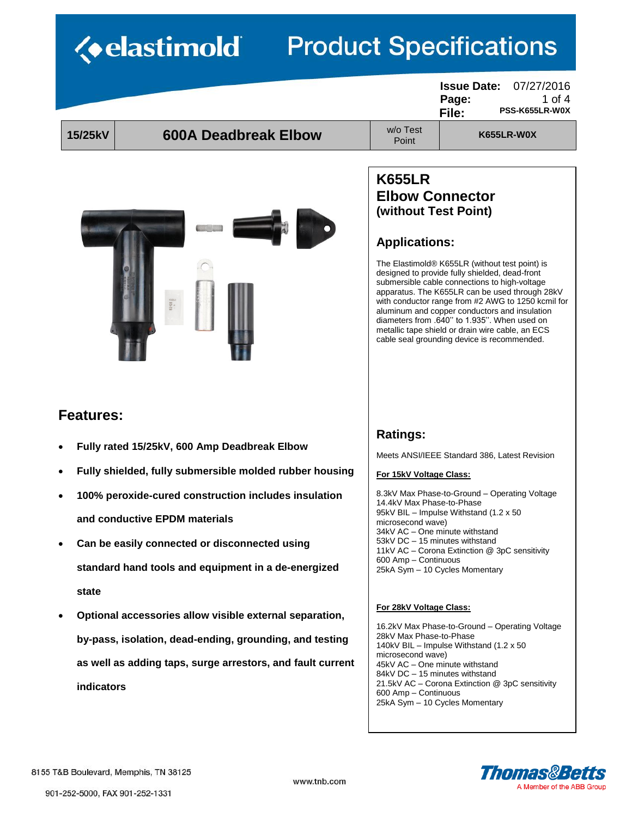## *<u><b>Velastimold</u>* **Product Specifications**

|                  |                                              |                                                                                         | <b>Issue Date:</b><br>07/27/2016<br>1 of $4$<br>Page:<br>PSS-K655LR-W0X<br>File:                                                                                                                                                                                                                                                                                                                                                                              |  |  |
|------------------|----------------------------------------------|-----------------------------------------------------------------------------------------|---------------------------------------------------------------------------------------------------------------------------------------------------------------------------------------------------------------------------------------------------------------------------------------------------------------------------------------------------------------------------------------------------------------------------------------------------------------|--|--|
| 15/25kV          | <b>600A Deadbreak Elbow</b>                  | w/o Test<br>Point                                                                       | <b>K655LR-W0X</b>                                                                                                                                                                                                                                                                                                                                                                                                                                             |  |  |
|                  |                                              | <b>K655LR</b><br><b>Elbow Connector</b><br>(without Test Point)<br><b>Applications:</b> | The Elastimold® K655LR (without test point) is<br>designed to provide fully shielded, dead-front<br>submersible cable connections to high-voltage<br>apparatus. The K655LR can be used through 28kV<br>with conductor range from #2 AWG to 1250 kcmil for<br>aluminum and copper conductors and insulation<br>diameters from .640" to 1.935". When used on<br>metallic tape shield or drain wire cable, an ECS<br>cable seal grounding device is recommended. |  |  |
| <b>Features:</b> |                                              |                                                                                         |                                                                                                                                                                                                                                                                                                                                                                                                                                                               |  |  |
|                  | Fully rated 15/25kV, 600 Amp Deadbreak Elbow | <b>Ratings:</b><br>Meets ANSI/IEEE Standard 386, Latest Revision                        |                                                                                                                                                                                                                                                                                                                                                                                                                                                               |  |  |

- **Fully shielded, fully submersible molded rubber housing**
- **100% peroxide-cured construction includes insulation and conductive EPDM materials**
- **Can be easily connected or disconnected using standard hand tools and equipment in a de-energized state**
- **Optional accessories allow visible external separation, by-pass, isolation, dead-ending, grounding, and testing as well as adding taps, surge arrestors, and fault current indicators**

# **For 15kV Voltage Class:**

8.3kV Max Phase-to-Ground – Operating Voltage 14.4kV Max Phase-to-Phase 95kV BIL – Impulse Withstand (1.2 x 50 microsecond wave) 34kV AC – One minute withstand 53kV DC – 15 minutes withstand 11kV AC – Corona Extinction @ 3pC sensitivity 600 Amp – Continuous 25kA Sym – 10 Cycles Momentary

#### **For 28kV Voltage Class:**

16.2kV Max Phase-to-Ground – Operating Voltage 28kV Max Phase-to-Phase 140kV BIL – Impulse Withstand (1.2 x 50 microsecond wave) 45kV AC – One minute withstand 84kV DC – 15 minutes withstand 21.5kV AC – Corona Extinction @ 3pC sensitivity 600 Amp – Continuous 25kA Sym – 10 Cycles Momentary

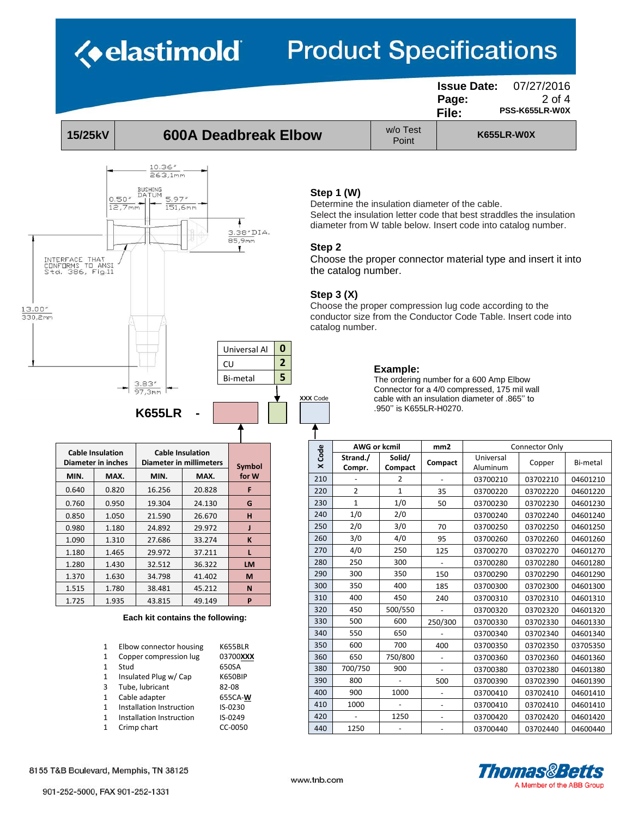# **Execution of the Second Services Product Specifications**

|                    |                                                                                                                     |                         |                                                                        |                                |                                |                                   |                               |                                                                                                     |                                    | Page:<br>File:       | <b>Issue Date:</b>                                                                                                                                                                                                                                               | 07/27/2016<br>2 of 4<br>PSS-K655LR-W0X |                      |
|--------------------|---------------------------------------------------------------------------------------------------------------------|-------------------------|------------------------------------------------------------------------|--------------------------------|--------------------------------|-----------------------------------|-------------------------------|-----------------------------------------------------------------------------------------------------|------------------------------------|----------------------|------------------------------------------------------------------------------------------------------------------------------------------------------------------------------------------------------------------------------------------------------------------|----------------------------------------|----------------------|
|                    | 15/25kV                                                                                                             |                         |                                                                        | <b>600A Deadbreak Elbow</b>    |                                |                                   |                               |                                                                                                     | w/o Test<br>Point                  |                      | <b>K655LR-W0X</b>                                                                                                                                                                                                                                                |                                        |                      |
|                    | INTERFACE THAT<br>CONFORMS TO ANSI<br>Std. 386, Fig.11                                                              | 12.7mm                  | 10.36"<br>263,1mm<br><b>BUSHING</b><br>$0.50''$ DATUM 5.97"<br>151,6mm |                                | 3.38"DIA.<br>85,9mm<br>H.      |                                   | Step 2                        | Step 1 (W)<br>Determine the insulation diameter of the cable.<br>the catalog number.<br>Step $3(X)$ |                                    |                      | Select the insulation letter code that best straddles the insulation<br>diameter from W table below. Insert code into catalog number.<br>Choose the proper connector material type and insert it into<br>Choose the proper compression lug code according to the |                                        |                      |
| 13.00''<br>330,2mm |                                                                                                                     |                         | $\frac{3.83''}{97,3mm}$ -<br><b>K655LR</b>                             |                                | Universal Al<br>CU<br>Bi-metal | 0<br>$\overline{\mathbf{2}}$<br>5 | <b>XXX Code</b>               | catalog number.                                                                                     | Example:<br>.950" is K655LR-H0270. |                      | conductor size from the Conductor Code Table. Insert code into<br>The ordering number for a 600 Amp Elbow<br>Connector for a 4/0 compressed, 175 mil wall<br>cable with an insulation diameter of .865" to                                                       |                                        |                      |
|                    |                                                                                                                     | <b>Cable Insulation</b> |                                                                        | <b>Cable Insulation</b>        |                                |                                   |                               | <b>AWG or kcmil</b>                                                                                 |                                    | mm <sub>2</sub>      |                                                                                                                                                                                                                                                                  | Connector Only                         |                      |
|                    |                                                                                                                     | Diameter in inches      |                                                                        | <b>Diameter in millimeters</b> |                                |                                   | Code<br>$\boldsymbol{\times}$ | Strand./                                                                                            | Solid/                             | Compact              | Universal                                                                                                                                                                                                                                                        | Copper                                 | Bi-metal             |
|                    | MIN.                                                                                                                | MAX.                    | MIN.                                                                   | MAX.                           | <b>Symbol</b><br>for W         |                                   | 210                           | Compr.                                                                                              | Compact<br>$\overline{2}$          |                      | Aluminum                                                                                                                                                                                                                                                         | 03702210                               |                      |
|                    | 0.640                                                                                                               | 0.820                   | 16.256                                                                 | 20.828                         | F                              |                                   | 220                           | 2                                                                                                   | $\mathbf{1}$                       | 35                   | 03700210<br>03700220                                                                                                                                                                                                                                             | 03702220                               | 04601210<br>04601220 |
|                    | 0.760                                                                                                               | 0.950                   | 19.304                                                                 | 24.130                         | G                              |                                   | 230                           | $\mathbf{1}$                                                                                        | 1/0                                | 50                   | 03700230                                                                                                                                                                                                                                                         | 03702230                               | 04601230             |
|                    | 0.850                                                                                                               | 1.050                   | 21.590                                                                 | 26.670                         | н                              |                                   | 240                           | 1/0                                                                                                 | 2/0                                |                      | 03700240                                                                                                                                                                                                                                                         | 03702240                               | 04601240             |
|                    | 0.980                                                                                                               | 1.180                   | 24.892                                                                 | 29.972                         | J                              |                                   | 250                           | 2/0                                                                                                 | 3/0                                | 70                   | 03700250                                                                                                                                                                                                                                                         | 03702250                               | 04601250             |
|                    | 1.090                                                                                                               | 1.310                   | 27.686                                                                 | 33.274                         | K                              |                                   | 260                           | 3/0                                                                                                 | 4/0                                | 95                   | 03700260                                                                                                                                                                                                                                                         | 03702260                               | 04601260             |
|                    | 1.180                                                                                                               | 1.465                   | 29.972                                                                 | 37.211                         | L                              |                                   | 270                           | 4/0                                                                                                 | 250                                | 125                  | 03700270                                                                                                                                                                                                                                                         | 03702270                               | 04601270             |
|                    | 1.280                                                                                                               | 1.430                   | 32.512                                                                 | 36.322                         | <b>LM</b>                      |                                   | 280                           | 250                                                                                                 | 300                                |                      | 03700280                                                                                                                                                                                                                                                         | 03702280                               | 04601280             |
|                    | 1.370                                                                                                               | 1.630                   | 34.798                                                                 | 41.402                         | M                              |                                   | 290                           | 300                                                                                                 | 350                                | 150                  | 03700290                                                                                                                                                                                                                                                         | 03702290                               | 04601290             |
|                    | 1.515                                                                                                               | 1.780                   | 38.481                                                                 | 45.212                         | N                              |                                   | 300                           | 350                                                                                                 | 400                                | 185                  | 03700300                                                                                                                                                                                                                                                         | 03702300                               | 04601300             |
|                    | 1.725                                                                                                               | 1.935                   | 43.815                                                                 | 49.149                         | P                              |                                   | 310                           | 400                                                                                                 | 450                                | 240                  | 03700310                                                                                                                                                                                                                                                         | 03702310                               | 04601310             |
|                    |                                                                                                                     |                         | Each kit contains the following:                                       |                                |                                |                                   | 320                           | 450                                                                                                 | 500/550                            |                      | 03700320                                                                                                                                                                                                                                                         | 03702320                               | 04601320             |
|                    |                                                                                                                     |                         |                                                                        |                                |                                |                                   | 330                           | 500                                                                                                 | 600                                | 250/300              | 03700330                                                                                                                                                                                                                                                         | 03702330                               | 04601330             |
|                    |                                                                                                                     |                         |                                                                        |                                | 340                            | 550                               | 650                           |                                                                                                     | 03700340                           | 03702340             | 04601340                                                                                                                                                                                                                                                         |                                        |                      |
|                    | Elbow connector housing<br>K655BLR<br>1<br>03700XXX<br>$\mathbf{1}$<br>Copper compression lug<br>Stud<br>650SA<br>1 |                         |                                                                        |                                |                                | 350                               | 600                           | 700                                                                                                 | 400                                | 03700350             | 03702350                                                                                                                                                                                                                                                         | 03705350                               |                      |
|                    |                                                                                                                     |                         |                                                                        |                                |                                | 360                               | 650                           | 750/800                                                                                             |                                    | 03700360             | 03702360                                                                                                                                                                                                                                                         | 04601360                               |                      |
|                    | Insulated Plug w/ Cap<br>K650BIP<br>1                                                                               |                         |                                                                        |                                | 380                            | 700/750<br>800                    | 900                           |                                                                                                     | 03700380                           | 03702380             | 04601380                                                                                                                                                                                                                                                         |                                        |                      |
|                    | Tube, lubricant<br>82-08<br>3                                                                                       |                         |                                                                        |                                | 390<br>400                     | 900                               | 1000                          | 500<br>$\overline{\phantom{a}}$                                                                     | 03700390<br>03700410               | 03702390<br>03702410 | 04601390<br>04601410                                                                                                                                                                                                                                             |                                        |                      |
|                    | Cable adapter<br>1<br>655CA-W<br>Installation Instruction<br>IS-0230                                                |                         |                                                                        | 410                            | 1000                           |                                   | $\overline{\phantom{a}}$      | 03700410                                                                                            | 03702410                           | 04601410             |                                                                                                                                                                                                                                                                  |                                        |                      |
|                    |                                                                                                                     | 1<br>1                  | Installation Instruction                                               |                                | IS-0249                        |                                   | 420                           |                                                                                                     | 1250                               | $\blacksquare$       | 03700420                                                                                                                                                                                                                                                         | 03702420                               | 04601420             |
|                    |                                                                                                                     | $\mathbf{1}$            | Crimp chart                                                            |                                | CC-0050                        |                                   | 440                           | 1250                                                                                                |                                    |                      | 03700440                                                                                                                                                                                                                                                         | 03702440                               | 04600440             |

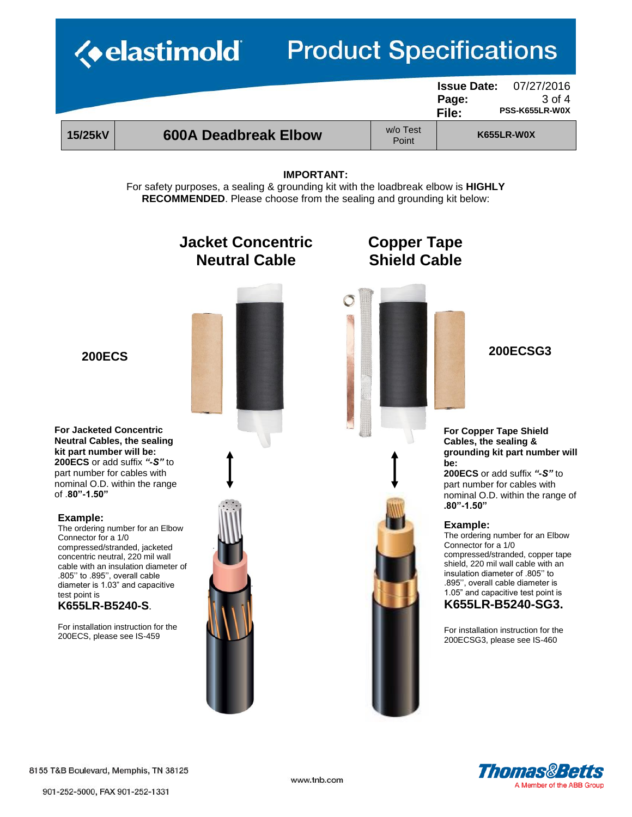|         | <b><i><u>Colastimold</u></i></b> | <b>Product Specifications</b> |                   |                |                                                             |  |  |
|---------|----------------------------------|-------------------------------|-------------------|----------------|-------------------------------------------------------------|--|--|
|         |                                  |                               |                   | Page:<br>File: | <b>Issue Date: 07/27/2016</b><br>$3$ of 4<br>PSS-K655LR-W0X |  |  |
| 15/25kV | <b>600A Deadbreak Elbow</b>      |                               | w/o Test<br>Point |                | <b>K655LR-W0X</b>                                           |  |  |

**IMPORTANT:**

For safety purposes, a sealing & grounding kit with the loadbreak elbow is **HIGHLY RECOMMENDED**. Please choose from the sealing and grounding kit below:



**For Copper Tape Shield Cables, the sealing & grounding kit part number will** 

**200ECS** or add suffix *"-S"* to part number for cables with nominal O.D. within the range of

#### **Example:**

The ordering number for an Elbow Connector for a 1/0 compressed/stranded, copper tape shield, 220 mil wall cable with an insulation diameter of .805'' to .895'', overall cable diameter is 1.05" and capacitive test point is **K655LR-B5240-SG3.**

For installation instruction for the 200ECSG3, please see IS-460



**For Jacketed Concentric Neutral Cables, the sealing kit part number will be: 200ECS** or add suffix *"-S"* to part number for cables with nominal O.D. within the range of .**80"-1.50"**

#### **Example:**

The ordering number for an Elbow Connector for a 1/0 compressed/stranded, jacketed concentric neutral, 220 mil wall cable with an insulation diameter of .805'' to .895'', overall cable diameter is 1.03" and capacitive test point is

### **K655LR-B5240-S**.

For installation instruction for the 200ECS, please see IS-459